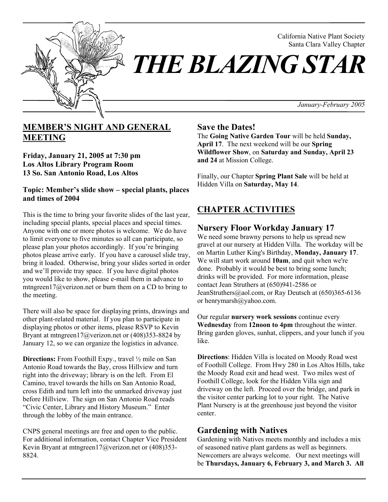

California Native Plant Society Santa Clara Valley Chapter

*THE BLAZING STAR* 

*January-February 2005*

# **MEMBER'S NIGHT AND GENERAL MEETING**

**Friday, January 21, 2005 at 7:30 pm Los Altos Library Program Room 13 So. San Antonio Road, Los Altos** 

#### **Topic: Member's slide show – special plants, places and times of 2004**

This is the time to bring your favorite slides of the last year, including special plants, special places and special times. Anyone with one or more photos is welcome. We do have to limit everyone to five minutes so all can participate, so please plan your photos accordingly. If you're bringing photos please arrive early. If you have a carousel slide tray, bring it loaded. Otherwise, bring your slides sorted in order and we'll provide tray space. If you have digital photos you would like to show, please e-mail them in advance to mtngreen17@verizon.net or burn them on a CD to bring to the meeting.

There will also be space for displaying prints, drawings and other plant-related material. If you plan to participate in displaying photos or other items, please RSVP to Kevin Bryant at mtngreen17@verizon.net or (408)353-8824 by January 12, so we can organize the logistics in advance.

**Directions:** From Foothill Expy., travel  $\frac{1}{2}$  mile on San Antonio Road towards the Bay, cross Hillview and turn right into the driveway; library is on the left. From El Camino, travel towards the hills on San Antonio Road, cross Edith and turn left into the unmarked driveway just before Hillview. The sign on San Antonio Road reads "Civic Center, Library and History Museum." Enter through the lobby of the main entrance.

CNPS general meetings are free and open to the public. For additional information, contact Chapter Vice President Kevin Bryant at mtngreen17@verizon.net or (408)353- 8824.

### **Save the Dates!**

The **Going Native Garden Tour** will be held **Sunday, April 17**. The next weekend will be our **Spring Wildflower Show**, on **Saturday and Sunday, April 23 and 24** at Mission College.

Finally, our Chapter **Spring Plant Sale** will be held at Hidden Villa on **Saturday, May 14**.

# **CHAPTER ACTIVITIES**

## **Nursery Floor Workday January 17**

We need some brawny persons to help us spread new gravel at our nursery at Hidden Villa. The workday will be on Martin Luther King's Birthday, **Monday, January 17**. We will start work around **10am**, and quit when we're done. Probably it would be best to bring some lunch; drinks will be provided. For more information, please contact Jean Struthers at (650)941-2586 or JeanStruthers@aol.com, or Ray Deutsch at (650)365-6136 or henrymarsh@yahoo.com.

Our regular **nursery work sessions** continue every **Wednesday** from **12noon to 4pm** throughout the winter. Bring garden gloves, sunhat, clippers, and your lunch if you like.

**Directions**: Hidden Villa is located on Moody Road west of Foothill College. From Hwy 280 in Los Altos Hills, take the Moody Road exit and head west. Two miles west of Foothill College, look for the Hidden Villa sign and driveway on the left. Proceed over the bridge, and park in the visitor center parking lot to your right. The Native Plant Nursery is at the greenhouse just beyond the visitor center.

## **Gardening with Natives**

Gardening with Natives meets monthly and includes a mix of seasoned native plant gardens as well as beginners. Newcomers are always welcome. Our next meetings will be **Thursdays, January 6, February 3, and March 3. All**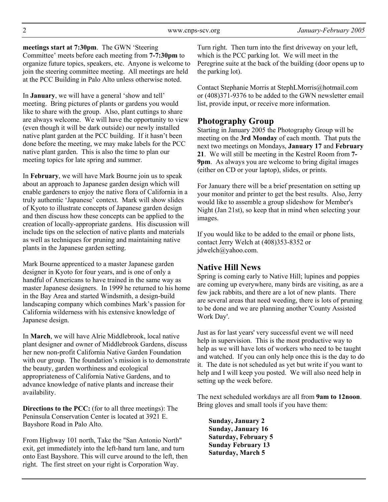**meetings start at 7:30pm**. The GWN 'Steering Committee' meets before each meeting from **7-7:30pm** to organize future topics, speakers, etc. Anyone is welcome to join the steering committee meeting. All meetings are held at the PCC Building in Palo Alto unless otherwise noted.

In **January**, we will have a general 'show and tell' meeting. Bring pictures of plants or gardens you would like to share with the group. Also, plant cuttings to share are always welcome. We will have the opportunity to view (even though it will be dark outside) our newly installed native plant garden at the PCC building. If it hasn't been done before the meeting, we may make labels for the PCC native plant garden. This is also the time to plan our meeting topics for late spring and summer.

In **February**, we will have Mark Bourne join us to speak about an approach to Japanese garden design which will enable gardeners to enjoy the native flora of California in a truly authentic 'Japanese' context. Mark will show slides of Kyoto to illustrate concepts of Japanese garden design and then discuss how these concepts can be applied to the creation of locally-appropriate gardens. His discussion will include tips on the selection of native plants and materials as well as techniques for pruning and maintaining native plants in the Japanese garden setting.

Mark Bourne apprenticed to a master Japanese garden designer in Kyoto for four years, and is one of only a handful of Americans to have trained in the same way as master Japanese designers. In 1999 he returned to his home in the Bay Area and started Windsmith, a design-build landscaping company which combines Mark's passion for California wilderness with his extensive knowledge of Japanese design.

In **March**, we will have Alrie Middlebrook, local native plant designer and owner of Middlebrook Gardens, discuss her new non-profit California Native Garden Foundation with our group. The foundation's mission is to demonstrate the beauty, garden worthiness and ecological appropriateness of California Native Gardens, and to advance knowledge of native plants and increase their availability.

**Directions to the PCC:** (for to all three meetings): The Peninsula Conservation Center is located at 3921 E. Bayshore Road in Palo Alto.

From Highway 101 north, Take the "San Antonio North" exit, get immediately into the left-hand turn lane, and turn onto East Bayshore. This will curve around to the left, then right. The first street on your right is Corporation Way.

Turn right. Then turn into the first driveway on your left, which is the PCC parking lot. We will meet in the Peregrine suite at the back of the building (door opens up to the parking lot).

Contact Stephanie Morris at StephLMorris@hotmail.com or (408)371-9376 to be added to the GWN newsletter email list, provide input, or receive more information.

## **Photography Group**

Starting in January 2005 the Photography Group will be meeting on the **3rd Monday** of each month. That puts the next two meetings on Mondays, **January 17** and **February 21**. We will still be meeting in the Kestrel Room from **7- 9pm**. As always you are welcome to bring digital images (either on CD or your laptop), slides, or prints.

For January there will be a brief presentation on setting up your monitor and printer to get the best results. Also, Jerry would like to assemble a group slideshow for Member's Night (Jan 21st), so keep that in mind when selecting your images.

If you would like to be added to the email or phone lists, contact Jerry Welch at (408)353-8352 or jdwelch@yahoo.com.

## **Native Hill News**

Spring is coming early to Native Hill; lupines and poppies are coming up everywhere, many birds are visiting, as are a few jack rabbits, and there are a lot of new plants. There are several areas that need weeding, there is lots of pruning to be done and we are planning another 'County Assisted Work Day'.

Just as for last years' very successful event we will need help in supervision. This is the most productive way to help as we will have lots of workers who need to be taught and watched. If you can only help once this is the day to do it. The date is not scheduled as yet but write if you want to help and I will keep you posted. We will also need help in setting up the week before.

The next scheduled workdays are all from **9am to 12noon**. Bring gloves and small tools if you have them:

**Sunday, January 2 Sunday, January 16 Saturday, February 5 Sunday February 13 Saturday, March 5**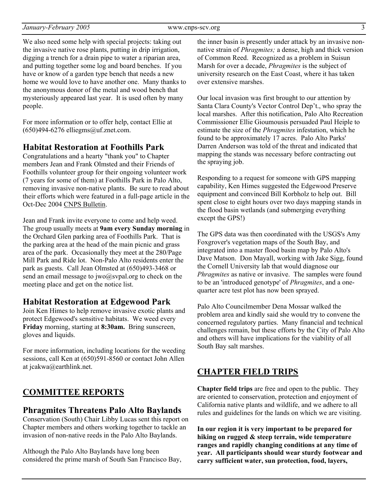We also need some help with special projects: taking out the invasive native rose plants, putting in drip irrigation, digging a trench for a drain pipe to water a riparian area, and putting together some log and board benches. If you have or know of a garden type bench that needs a new home we would love to have another one. Many thanks to the anonymous donor of the metal and wood bench that mysteriously appeared last year. It is used often by many people.

For more information or to offer help, contact Ellie at  $(650)494-6276$  elliegms@uf.znet.com.

#### **Habitat Restoration at Foothills Park**

Congratulations and a hearty "thank you" to Chapter members Jean and Frank Olmsted and their Friends of Foothills volunteer group for their ongoing volunteer work (7 years for some of them) at Foothills Park in Palo Alto, removing invasive non-native plants. Be sure to read about their efforts which were featured in a full-page article in the Oct-Dec 2004 CNPS Bulletin.

Jean and Frank invite everyone to come and help weed. The group usually meets at **9am every Sunday morning** in the Orchard Glen parking area of Foothills Park. That is the parking area at the head of the main picnic and grass area of the park. Occasionally they meet at the 280/Page Mill Park and Ride lot. Non-Palo Alto residents enter the park as guests. Call Jean Olmsted at (650)493-3468 or send an email message to jwo@svpal.org to check on the meeting place and get on the notice list.

#### **Habitat Restoration at Edgewood Park**

Join Ken Himes to help remove invasive exotic plants and protect Edgewood's sensitive habitats. We weed every **Friday** morning, starting at **8:30am.** Bring sunscreen, gloves and liquids.

For more information, including locations for the weeding sessions, call Ken at (650)591-8560 or contact John Allen at jcakwa@earthlink.net.

## **COMMITTEE REPORTS**

#### **Phragmites Threatens Palo Alto Baylands**

Conservation (South) Chair Libby Lucas sent this report on Chapter members and others working together to tackle an invasion of non-native reeds in the Palo Alto Baylands.

Although the Palo Alto Baylands have long been considered the prime marsh of South San Francisco Bay, the inner basin is presently under attack by an invasive nonnative strain of *Phragmites;* a dense, high and thick version of Common Reed. Recognized as a problem in Suisun Marsh for over a decade, *Phragmites* is the subject of university research on the East Coast, where it has taken over extensive marshes.

Our local invasion was first brought to our attention by Santa Clara County's Vector Control Dep't., who spray the local marshes. After this notification, Palo Alto Recreation Commissioner Ellie Gioumousis persuaded Paul Heiple to estimate the size of the *Phragmites* infestation, which he found to be approximately 17 acres. Palo Alto Parks' Darren Anderson was told of the threat and indicated that mapping the stands was necessary before contracting out the spraying job.

Responding to a request for someone with GPS mapping capability, Ken Himes suggested the Edgewood Preserve equipment and convinced Bill Korbholz to help out. Bill spent close to eight hours over two days mapping stands in the flood basin wetlands (and submerging everything except the GPS!)

The GPS data was then coordinated with the USGS's Amy Foxgrover's vegetation maps of the South Bay, and integrated into a master flood basin map by Palo Alto's Dave Matson. Don Mayall, working with Jake Sigg, found the Cornell University lab that would diagnose our *Phragmites* as native or invasive. The samples were found to be an 'introduced genotype' of *Phragmites*, and a onequarter acre test plot has now been sprayed.

Palo Alto Councilmember Dena Mossar walked the problem area and kindly said she would try to convene the concerned regulatory parties. Many financial and technical challenges remain, but these efforts by the City of Palo Alto and others will have implications for the viability of all South Bay salt marshes.

#### **CHAPTER FIELD TRIPS**

**Chapter field trips** are free and open to the public. They are oriented to conservation, protection and enjoyment of California native plants and wildlife, and we adhere to all rules and guidelines for the lands on which we are visiting.

**In our region it is very important to be prepared for hiking on rugged & steep terrain, wide temperature ranges and rapidly changing conditions at any time of year. All participants should wear sturdy footwear and carry sufficient water, sun protection, food, layers,**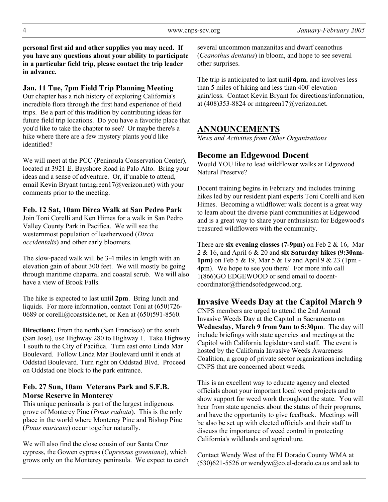**personal first aid and other supplies you may need. If you have any questions about your ability to participate in a particular field trip, please contact the trip leader in advance.** 

#### **Jan. 11 Tue, 7pm Field Trip Planning Meeting**

Our chapter has a rich history of exploring California's incredible flora through the first hand experience of field trips. Be a part of this tradition by contributing ideas for future field trip locations. Do you have a favorite place that you'd like to take the chapter to see? Or maybe there's a hike where there are a few mystery plants you'd like identified?

We will meet at the PCC (Peninsula Conservation Center), located at 3921 E. Bayshore Road in Palo Alto. Bring your ideas and a sense of adventure. Or, if unable to attend, email Kevin Bryant (mtngreen17@verizon.net) with your comments prior to the meeting.

#### **Feb. 12 Sat, 10am Dirca Walk at San Pedro Park**

Join Toni Corelli and Ken Himes for a walk in San Pedro Valley County Park in Pacifica. We will see the westernmost population of leatherwood (*Dirca occidentalis*) and other early bloomers.

The slow-paced walk will be 3-4 miles in length with an elevation gain of about 300 feet. We will mostly be going through maritime chaparral and coastal scrub. We will also have a view of Brook Falls.

The hike is expected to last until **2pm**. Bring lunch and liquids. For more information, contact Toni at  $(650)726$ -0689 or corelli@coastside.net, or Ken at (650)591-8560.

**Directions:** From the north (San Francisco) or the south (San Jose), use Highway 280 to Highway 1. Take Highway 1 south to the City of Pacifica. Turn east onto Linda Mar Boulevard. Follow Linda Mar Boulevard until it ends at Oddstad Boulevard. Turn right on Oddstad Blvd. Proceed on Oddstad one block to the park entrance.

#### **Feb. 27 Sun, 10am Veterans Park and S.F.B. Morse Reserve in Monterey**

This unique peninsula is part of the largest indigenous grove of Monterey Pine (*Pinus radiata*). This is the only place in the world where Monterey Pine and Bishop Pine (*Pinus muricata*) occur together naturally.

We will also find the close cousin of our Santa Cruz cypress, the Gowen cypress (*Cupressus goveniana*), which grows only on the Monterey peninsula. We expect to catch several uncommon manzanitas and dwarf ceanothus (*Ceanothus dentatus*) in bloom, and hope to see several other surprises.

The trip is anticipated to last until **4pm**, and involves less than 5 miles of hiking and less than 400' elevation gain/loss. Contact Kevin Bryant for directions/information, at  $(408)353-8824$  or mtngreen $17@$ verizon.net.

## **ANNOUNCEMENTS**

*News and Activities from Other Organizations* 

## **Become an Edgewood Docent**

Would YOU like to lead wildflower walks at Edgewood Natural Preserve?

Docent training begins in February and includes training hikes led by our resident plant experts Toni Corelli and Ken Himes. Becoming a wildflower walk docent is a great way to learn about the diverse plant communities at Edgewood and is a great way to share your enthusiasm for Edgewood's treasured wildflowers with the community.

There are **six evening classes (7-9pm)** on Feb 2 & 16, Mar 2 & 16, and April 6 & 20 and **six Saturday hikes (9:30am-1pm)** on Feb 5 & 19, Mar 5 & 19 and April 9 & 23 (1pm - 4pm). We hope to see you there! For more info call 1(866)GO EDGEWOOD or send email to docentcoordinator@friendsofedgewood.org.

### **Invasive Weeds Day at the Capitol March 9**

CNPS members are urged to attend the 2nd Annual Invasive Weeds Day at the Capitol in Sacramento on **Wednesday, March 9 from 9am to 5:30pm**. The day will include briefings with state agencies and meetings at the Capitol with California legislators and staff. The event is hosted by the California Invasive Weeds Awareness Coalition, a group of private sector organizations including CNPS that are concerned about weeds.

This is an excellent way to educate agency and elected officials about your important local weed projects and to show support for weed work throughout the state. You will hear from state agencies about the status of their programs, and have the opportunity to give feedback. Meetings will be also be set up with elected officials and their staff to discuss the importance of weed control in protecting California's wildlands and agriculture.

Contact Wendy West of the El Dorado County WMA at  $(530)621-5526$  or wendyw@co.el-dorado.ca.us and ask to